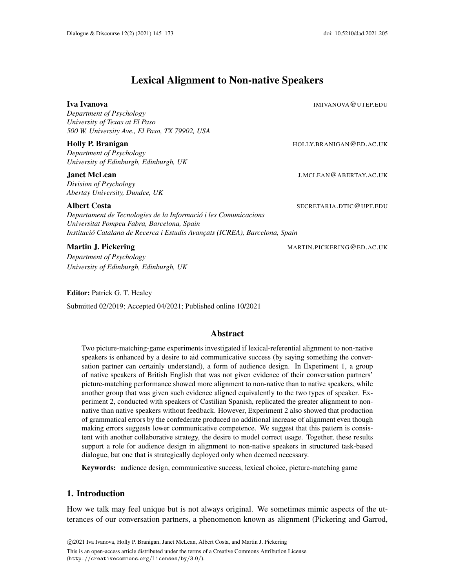# Lexical Alignment to Non-native Speakers

Iva Ivanova IMIVANOVA@UTEP.EDU

*Department of Psychology University of Texas at El Paso 500 W. University Ave., El Paso, TX 79902, USA*

## Holly P. Branigan **Holly P. Branigan** Holly.BRANIGAN@ED.AC.UK

*Department of Psychology University of Edinburgh, Edinburgh, UK*

## **Janet McLean J.MCLEAN@ABERTAY.AC.UK**

*Division of Psychology Abertay University, Dundee, UK*

#### Albert Costa SECRETARIA.DTIC@UPF.EDU

*Departament de Tecnologies de la Informacio i les Comunicacions ´ Universitat Pompeu Fabra, Barcelona, Spain Institucio Catalana de Recerca i Estudis Avanc¸ats (ICREA), Barcelona, Spain ´*

*Department of Psychology University of Edinburgh, Edinburgh, UK*

Editor: Patrick G. T. Healey Submitted 02/2019; Accepted 04/2021; Published online 10/2021

## Abstract

Two picture-matching-game experiments investigated if lexical-referential alignment to non-native speakers is enhanced by a desire to aid communicative success (by saying something the conversation partner can certainly understand), a form of audience design. In Experiment 1, a group of native speakers of British English that was not given evidence of their conversation partners' picture-matching performance showed more alignment to non-native than to native speakers, while another group that was given such evidence aligned equivalently to the two types of speaker. Experiment 2, conducted with speakers of Castilian Spanish, replicated the greater alignment to nonnative than native speakers without feedback. However, Experiment 2 also showed that production of grammatical errors by the confederate produced no additional increase of alignment even though making errors suggests lower communicative competence. We suggest that this pattern is consistent with another collaborative strategy, the desire to model correct usage. Together, these results support a role for audience design in alignment to non-native speakers in structured task-based dialogue, but one that is strategically deployed only when deemed necessary.

Keywords: audience design, communicative success, lexical choice, picture-matching game

## 1. Introduction

How we talk may feel unique but is not always original. We sometimes mimic aspects of the utterances of our conversation partners, a phenomenon known as alignment (Pickering and Garrod,

**Martin J. Pickering MARTIN.PICKERING CED.AC.UK**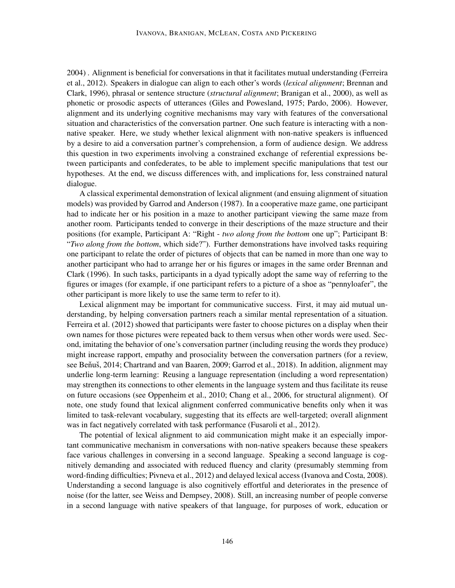2004) . Alignment is beneficial for conversations in that it facilitates mutual understanding (Ferreira et al., 2012). Speakers in dialogue can align to each other's words (*lexical alignment*; Brennan and Clark, 1996), phrasal or sentence structure (*structural alignment*; Branigan et al., 2000), as well as phonetic or prosodic aspects of utterances (Giles and Powesland, 1975; Pardo, 2006). However, alignment and its underlying cognitive mechanisms may vary with features of the conversational situation and characteristics of the conversation partner. One such feature is interacting with a nonnative speaker. Here, we study whether lexical alignment with non-native speakers is influenced by a desire to aid a conversation partner's comprehension, a form of audience design. We address this question in two experiments involving a constrained exchange of referential expressions between participants and confederates, to be able to implement specific manipulations that test our hypotheses. At the end, we discuss differences with, and implications for, less constrained natural dialogue.

A classical experimental demonstration of lexical alignment (and ensuing alignment of situation models) was provided by Garrod and Anderson (1987). In a cooperative maze game, one participant had to indicate her or his position in a maze to another participant viewing the same maze from another room. Participants tended to converge in their descriptions of the maze structure and their positions (for example, Participant A: "Right - *two along from the bottom* one up"; Participant B: "*Two along from the bottom*, which side?"). Further demonstrations have involved tasks requiring one participant to relate the order of pictures of objects that can be named in more than one way to another participant who had to arrange her or his figures or images in the same order Brennan and Clark (1996). In such tasks, participants in a dyad typically adopt the same way of referring to the figures or images (for example, if one participant refers to a picture of a shoe as "pennyloafer", the other participant is more likely to use the same term to refer to it).

Lexical alignment may be important for communicative success. First, it may aid mutual understanding, by helping conversation partners reach a similar mental representation of a situation. Ferreira et al. (2012) showed that participants were faster to choose pictures on a display when their own names for those pictures were repeated back to them versus when other words were used. Second, imitating the behavior of one's conversation partner (including reusing the words they produce) might increase rapport, empathy and prosociality between the conversation partners (for a review, see Beňuš, 2014; Chartrand and van Baaren, 2009; Garrod et al., 2018). In addition, alignment may underlie long-term learning: Reusing a language representation (including a word representation) may strengthen its connections to other elements in the language system and thus facilitate its reuse on future occasions (see Oppenheim et al., 2010; Chang et al., 2006, for structural alignment). Of note, one study found that lexical alignment conferred communicative benefits only when it was limited to task-relevant vocabulary, suggesting that its effects are well-targeted; overall alignment was in fact negatively correlated with task performance (Fusaroli et al., 2012).

The potential of lexical alignment to aid communication might make it an especially important communicative mechanism in conversations with non-native speakers because these speakers face various challenges in conversing in a second language. Speaking a second language is cognitively demanding and associated with reduced fluency and clarity (presumably stemming from word-finding difficulties; Pivneva et al., 2012) and delayed lexical access (Ivanova and Costa, 2008). Understanding a second language is also cognitively effortful and deteriorates in the presence of noise (for the latter, see Weiss and Dempsey, 2008). Still, an increasing number of people converse in a second language with native speakers of that language, for purposes of work, education or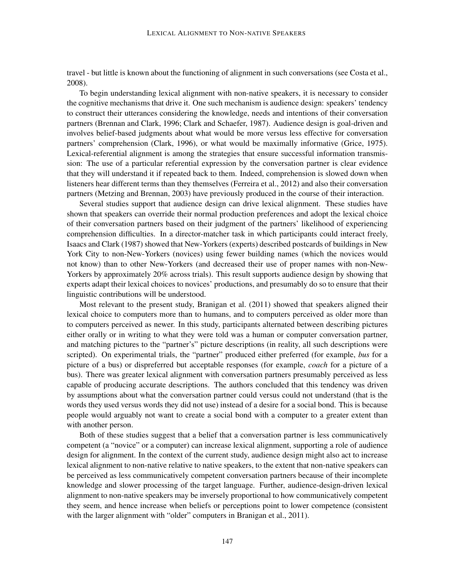travel - but little is known about the functioning of alignment in such conversations (see Costa et al., 2008).

To begin understanding lexical alignment with non-native speakers, it is necessary to consider the cognitive mechanisms that drive it. One such mechanism is audience design: speakers' tendency to construct their utterances considering the knowledge, needs and intentions of their conversation partners (Brennan and Clark, 1996; Clark and Schaefer, 1987). Audience design is goal-driven and involves belief-based judgments about what would be more versus less effective for conversation partners' comprehension (Clark, 1996), or what would be maximally informative (Grice, 1975). Lexical-referential alignment is among the strategies that ensure successful information transmission: The use of a particular referential expression by the conversation partner is clear evidence that they will understand it if repeated back to them. Indeed, comprehension is slowed down when listeners hear different terms than they themselves (Ferreira et al., 2012) and also their conversation partners (Metzing and Brennan, 2003) have previously produced in the course of their interaction.

Several studies support that audience design can drive lexical alignment. These studies have shown that speakers can override their normal production preferences and adopt the lexical choice of their conversation partners based on their judgment of the partners' likelihood of experiencing comprehension difficulties. In a director-matcher task in which participants could interact freely, Isaacs and Clark (1987) showed that New-Yorkers (experts) described postcards of buildings in New York City to non-New-Yorkers (novices) using fewer building names (which the novices would not know) than to other New-Yorkers (and decreased their use of proper names with non-New-Yorkers by approximately 20% across trials). This result supports audience design by showing that experts adapt their lexical choices to novices' productions, and presumably do so to ensure that their linguistic contributions will be understood.

Most relevant to the present study, Branigan et al. (2011) showed that speakers aligned their lexical choice to computers more than to humans, and to computers perceived as older more than to computers perceived as newer. In this study, participants alternated between describing pictures either orally or in writing to what they were told was a human or computer conversation partner, and matching pictures to the "partner's" picture descriptions (in reality, all such descriptions were scripted). On experimental trials, the "partner" produced either preferred (for example, *bus* for a picture of a bus) or dispreferred but acceptable responses (for example, *coach* for a picture of a bus). There was greater lexical alignment with conversation partners presumably perceived as less capable of producing accurate descriptions. The authors concluded that this tendency was driven by assumptions about what the conversation partner could versus could not understand (that is the words they used versus words they did not use) instead of a desire for a social bond. This is because people would arguably not want to create a social bond with a computer to a greater extent than with another person.

Both of these studies suggest that a belief that a conversation partner is less communicatively competent (a "novice" or a computer) can increase lexical alignment, supporting a role of audience design for alignment. In the context of the current study, audience design might also act to increase lexical alignment to non-native relative to native speakers, to the extent that non-native speakers can be perceived as less communicatively competent conversation partners because of their incomplete knowledge and slower processing of the target language. Further, audience-design-driven lexical alignment to non-native speakers may be inversely proportional to how communicatively competent they seem, and hence increase when beliefs or perceptions point to lower competence (consistent with the larger alignment with "older" computers in Branigan et al., 2011).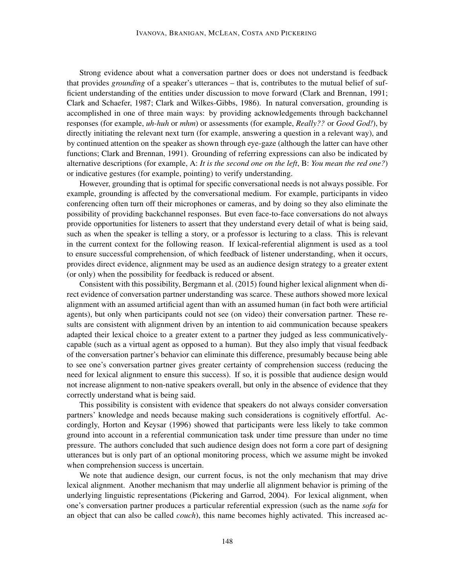Strong evidence about what a conversation partner does or does not understand is feedback that provides *grounding* of a speaker's utterances – that is, contributes to the mutual belief of sufficient understanding of the entities under discussion to move forward (Clark and Brennan, 1991; Clark and Schaefer, 1987; Clark and Wilkes-Gibbs, 1986). In natural conversation, grounding is accomplished in one of three main ways: by providing acknowledgements through backchannel responses (for example, *uh-huh* or *mhm*) or assessments (for example, *Really??* or *Good God!*), by directly initiating the relevant next turn (for example, answering a question in a relevant way), and by continued attention on the speaker as shown through eye-gaze (although the latter can have other functions; Clark and Brennan, 1991). Grounding of referring expressions can also be indicated by alternative descriptions (for example, A: *It is the second one on the left*, B: *You mean the red one?*) or indicative gestures (for example, pointing) to verify understanding.

However, grounding that is optimal for specific conversational needs is not always possible. For example, grounding is affected by the conversational medium. For example, participants in video conferencing often turn off their microphones or cameras, and by doing so they also eliminate the possibility of providing backchannel responses. But even face-to-face conversations do not always provide opportunities for listeners to assert that they understand every detail of what is being said, such as when the speaker is telling a story, or a professor is lecturing to a class. This is relevant in the current context for the following reason. If lexical-referential alignment is used as a tool to ensure successful comprehension, of which feedback of listener understanding, when it occurs, provides direct evidence, alignment may be used as an audience design strategy to a greater extent (or only) when the possibility for feedback is reduced or absent.

Consistent with this possibility, Bergmann et al. (2015) found higher lexical alignment when direct evidence of conversation partner understanding was scarce. These authors showed more lexical alignment with an assumed artificial agent than with an assumed human (in fact both were artificial agents), but only when participants could not see (on video) their conversation partner. These results are consistent with alignment driven by an intention to aid communication because speakers adapted their lexical choice to a greater extent to a partner they judged as less communicativelycapable (such as a virtual agent as opposed to a human). But they also imply that visual feedback of the conversation partner's behavior can eliminate this difference, presumably because being able to see one's conversation partner gives greater certainty of comprehension success (reducing the need for lexical alignment to ensure this success). If so, it is possible that audience design would not increase alignment to non-native speakers overall, but only in the absence of evidence that they correctly understand what is being said.

This possibility is consistent with evidence that speakers do not always consider conversation partners' knowledge and needs because making such considerations is cognitively effortful. Accordingly, Horton and Keysar (1996) showed that participants were less likely to take common ground into account in a referential communication task under time pressure than under no time pressure. The authors concluded that such audience design does not form a core part of designing utterances but is only part of an optional monitoring process, which we assume might be invoked when comprehension success is uncertain.

We note that audience design, our current focus, is not the only mechanism that may drive lexical alignment. Another mechanism that may underlie all alignment behavior is priming of the underlying linguistic representations (Pickering and Garrod, 2004). For lexical alignment, when one's conversation partner produces a particular referential expression (such as the name *sofa* for an object that can also be called *couch*), this name becomes highly activated. This increased ac-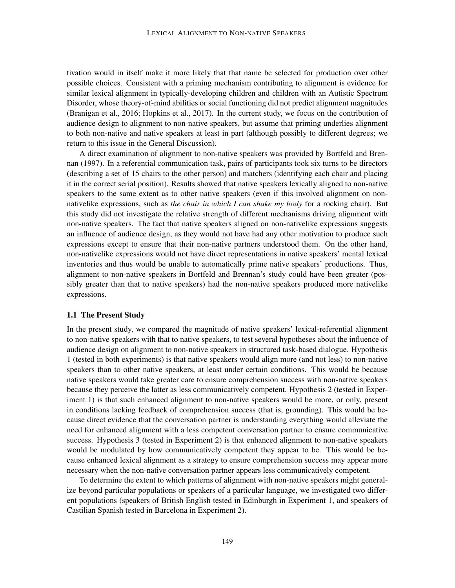tivation would in itself make it more likely that that name be selected for production over other possible choices. Consistent with a priming mechanism contributing to alignment is evidence for similar lexical alignment in typically-developing children and children with an Autistic Spectrum Disorder, whose theory-of-mind abilities or social functioning did not predict alignment magnitudes (Branigan et al., 2016; Hopkins et al., 2017). In the current study, we focus on the contribution of audience design to alignment to non-native speakers, but assume that priming underlies alignment to both non-native and native speakers at least in part (although possibly to different degrees; we return to this issue in the General Discussion).

A direct examination of alignment to non-native speakers was provided by Bortfeld and Brennan (1997). In a referential communication task, pairs of participants took six turns to be directors (describing a set of 15 chairs to the other person) and matchers (identifying each chair and placing it in the correct serial position). Results showed that native speakers lexically aligned to non-native speakers to the same extent as to other native speakers (even if this involved alignment on nonnativelike expressions, such as *the chair in which I can shake my body* for a rocking chair). But this study did not investigate the relative strength of different mechanisms driving alignment with non-native speakers. The fact that native speakers aligned on non-nativelike expressions suggests an influence of audience design, as they would not have had any other motivation to produce such expressions except to ensure that their non-native partners understood them. On the other hand, non-nativelike expressions would not have direct representations in native speakers' mental lexical inventories and thus would be unable to automatically prime native speakers' productions. Thus, alignment to non-native speakers in Bortfeld and Brennan's study could have been greater (possibly greater than that to native speakers) had the non-native speakers produced more nativelike expressions.

#### 1.1 The Present Study

In the present study, we compared the magnitude of native speakers' lexical-referential alignment to non-native speakers with that to native speakers, to test several hypotheses about the influence of audience design on alignment to non-native speakers in structured task-based dialogue. Hypothesis 1 (tested in both experiments) is that native speakers would align more (and not less) to non-native speakers than to other native speakers, at least under certain conditions. This would be because native speakers would take greater care to ensure comprehension success with non-native speakers because they perceive the latter as less communicatively competent. Hypothesis 2 (tested in Experiment 1) is that such enhanced alignment to non-native speakers would be more, or only, present in conditions lacking feedback of comprehension success (that is, grounding). This would be because direct evidence that the conversation partner is understanding everything would alleviate the need for enhanced alignment with a less competent conversation partner to ensure communicative success. Hypothesis 3 (tested in Experiment 2) is that enhanced alignment to non-native speakers would be modulated by how communicatively competent they appear to be. This would be because enhanced lexical alignment as a strategy to ensure comprehension success may appear more necessary when the non-native conversation partner appears less communicatively competent.

To determine the extent to which patterns of alignment with non-native speakers might generalize beyond particular populations or speakers of a particular language, we investigated two different populations (speakers of British English tested in Edinburgh in Experiment 1, and speakers of Castilian Spanish tested in Barcelona in Experiment 2).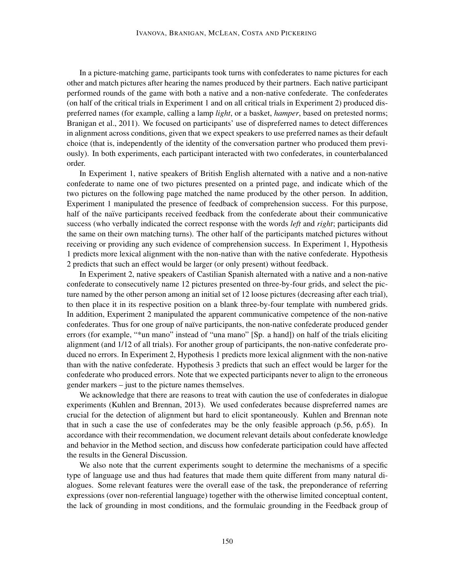In a picture-matching game, participants took turns with confederates to name pictures for each other and match pictures after hearing the names produced by their partners. Each native participant performed rounds of the game with both a native and a non-native confederate. The confederates (on half of the critical trials in Experiment 1 and on all critical trials in Experiment 2) produced dispreferred names (for example, calling a lamp *light*, or a basket, *hamper*, based on pretested norms; Branigan et al., 2011). We focused on participants' use of dispreferred names to detect differences in alignment across conditions, given that we expect speakers to use preferred names as their default choice (that is, independently of the identity of the conversation partner who produced them previously). In both experiments, each participant interacted with two confederates, in counterbalanced order.

In Experiment 1, native speakers of British English alternated with a native and a non-native confederate to name one of two pictures presented on a printed page, and indicate which of the two pictures on the following page matched the name produced by the other person. In addition, Experiment 1 manipulated the presence of feedback of comprehension success. For this purpose, half of the naïve participants received feedback from the confederate about their communicative success (who verbally indicated the correct response with the words *left* and *right*; participants did the same on their own matching turns). The other half of the participants matched pictures without receiving or providing any such evidence of comprehension success. In Experiment 1, Hypothesis 1 predicts more lexical alignment with the non-native than with the native confederate. Hypothesis 2 predicts that such an effect would be larger (or only present) without feedback.

In Experiment 2, native speakers of Castilian Spanish alternated with a native and a non-native confederate to consecutively name 12 pictures presented on three-by-four grids, and select the picture named by the other person among an initial set of 12 loose pictures (decreasing after each trial), to then place it in its respective position on a blank three-by-four template with numbered grids. In addition, Experiment 2 manipulated the apparent communicative competence of the non-native confederates. Thus for one group of naïve participants, the non-native confederate produced gender errors (for example, "\*un mano" instead of "una mano" [Sp. a hand]) on half of the trials eliciting alignment (and 1/12 of all trials). For another group of participants, the non-native confederate produced no errors. In Experiment 2, Hypothesis 1 predicts more lexical alignment with the non-native than with the native confederate. Hypothesis 3 predicts that such an effect would be larger for the confederate who produced errors. Note that we expected participants never to align to the erroneous gender markers – just to the picture names themselves.

We acknowledge that there are reasons to treat with caution the use of confederates in dialogue experiments (Kuhlen and Brennan, 2013). We used confederates because dispreferred names are crucial for the detection of alignment but hard to elicit spontaneously. Kuhlen and Brennan note that in such a case the use of confederates may be the only feasible approach (p.56, p.65). In accordance with their recommendation, we document relevant details about confederate knowledge and behavior in the Method section, and discuss how confederate participation could have affected the results in the General Discussion.

We also note that the current experiments sought to determine the mechanisms of a specific type of language use and thus had features that made them quite different from many natural dialogues. Some relevant features were the overall ease of the task, the preponderance of referring expressions (over non-referential language) together with the otherwise limited conceptual content, the lack of grounding in most conditions, and the formulaic grounding in the Feedback group of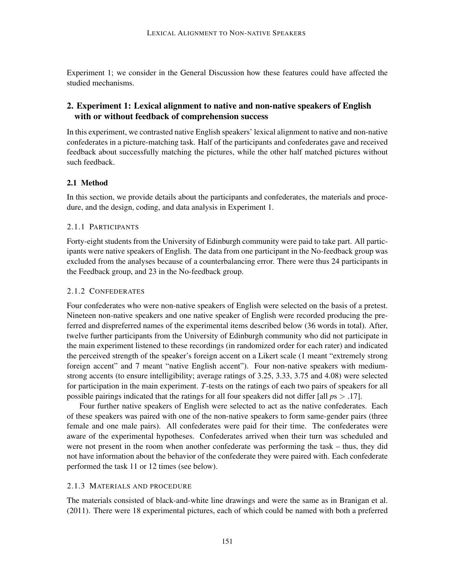Experiment 1; we consider in the General Discussion how these features could have affected the studied mechanisms.

## 2. Experiment 1: Lexical alignment to native and non-native speakers of English with or without feedback of comprehension success

In this experiment, we contrasted native English speakers' lexical alignment to native and non-native confederates in a picture-matching task. Half of the participants and confederates gave and received feedback about successfully matching the pictures, while the other half matched pictures without such feedback.

#### 2.1 Method

In this section, we provide details about the participants and confederates, the materials and procedure, and the design, coding, and data analysis in Experiment 1.

## 2.1.1 PARTICIPANTS

Forty-eight students from the University of Edinburgh community were paid to take part. All participants were native speakers of English. The data from one participant in the No-feedback group was excluded from the analyses because of a counterbalancing error. There were thus 24 participants in the Feedback group, and 23 in the No-feedback group.

## 2.1.2 CONFEDERATES

Four confederates who were non-native speakers of English were selected on the basis of a pretest. Nineteen non-native speakers and one native speaker of English were recorded producing the preferred and dispreferred names of the experimental items described below (36 words in total). After, twelve further participants from the University of Edinburgh community who did not participate in the main experiment listened to these recordings (in randomized order for each rater) and indicated the perceived strength of the speaker's foreign accent on a Likert scale (1 meant "extremely strong foreign accent" and 7 meant "native English accent"). Four non-native speakers with mediumstrong accents (to ensure intelligibility; average ratings of 3.25, 3.33, 3.75 and 4.08) were selected for participation in the main experiment. *T*-tests on the ratings of each two pairs of speakers for all possible pairings indicated that the ratings for all four speakers did not differ [all *p*s > .17].

Four further native speakers of English were selected to act as the native confederates. Each of these speakers was paired with one of the non-native speakers to form same-gender pairs (three female and one male pairs). All confederates were paid for their time. The confederates were aware of the experimental hypotheses. Confederates arrived when their turn was scheduled and were not present in the room when another confederate was performing the task – thus, they did not have information about the behavior of the confederate they were paired with. Each confederate performed the task 11 or 12 times (see below).

#### 2.1.3 MATERIALS AND PROCEDURE

The materials consisted of black-and-white line drawings and were the same as in Branigan et al. (2011). There were 18 experimental pictures, each of which could be named with both a preferred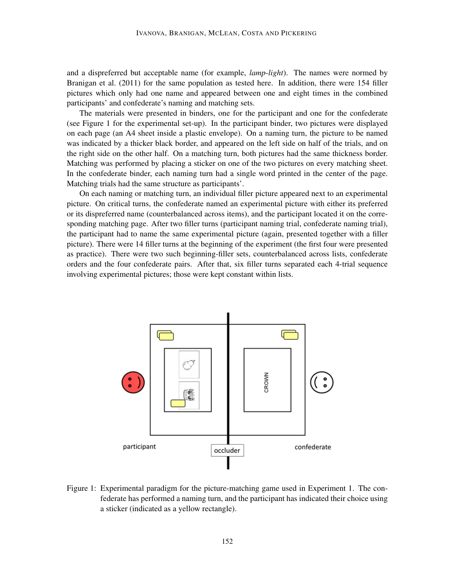and a dispreferred but acceptable name (for example, *lamp*-*light*). The names were normed by Branigan et al. (2011) for the same population as tested here. In addition, there were 154 filler pictures which only had one name and appeared between one and eight times in the combined participants' and confederate's naming and matching sets.

The materials were presented in binders, one for the participant and one for the confederate (see Figure 1 for the experimental set-up). In the participant binder, two pictures were displayed on each page (an A4 sheet inside a plastic envelope). On a naming turn, the picture to be named was indicated by a thicker black border, and appeared on the left side on half of the trials, and on the right side on the other half. On a matching turn, both pictures had the same thickness border. Matching was performed by placing a sticker on one of the two pictures on every matching sheet. In the confederate binder, each naming turn had a single word printed in the center of the page. Matching trials had the same structure as participants'.

On each naming or matching turn, an individual filler picture appeared next to an experimental picture. On critical turns, the confederate named an experimental picture with either its preferred or its dispreferred name (counterbalanced across items), and the participant located it on the corresponding matching page. After two filler turns (participant naming trial, confederate naming trial), the participant had to name the same experimental picture (again, presented together with a filler picture). There were 14 filler turns at the beginning of the experiment (the first four were presented as practice). There were two such beginning-filler sets, counterbalanced across lists, confederate orders and the four confederate pairs. After that, six filler turns separated each 4-trial sequence involving experimental pictures; those were kept constant within lists.



Figure 1: Experimental paradigm for the picture-matching game used in Experiment 1. The confederate has performed a naming turn, and the participant has indicated their choice using a sticker (indicated as a yellow rectangle).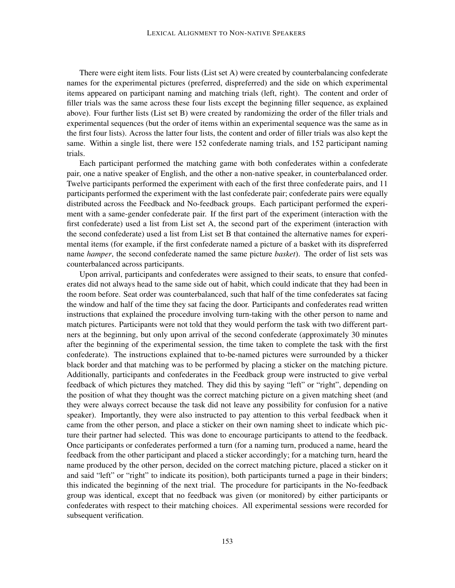There were eight item lists. Four lists (List set A) were created by counterbalancing confederate names for the experimental pictures (preferred, dispreferred) and the side on which experimental items appeared on participant naming and matching trials (left, right). The content and order of filler trials was the same across these four lists except the beginning filler sequence, as explained above). Four further lists (List set B) were created by randomizing the order of the filler trials and experimental sequences (but the order of items within an experimental sequence was the same as in the first four lists). Across the latter four lists, the content and order of filler trials was also kept the same. Within a single list, there were 152 confederate naming trials, and 152 participant naming trials.

Each participant performed the matching game with both confederates within a confederate pair, one a native speaker of English, and the other a non-native speaker, in counterbalanced order. Twelve participants performed the experiment with each of the first three confederate pairs, and 11 participants performed the experiment with the last confederate pair; confederate pairs were equally distributed across the Feedback and No-feedback groups. Each participant performed the experiment with a same-gender confederate pair. If the first part of the experiment (interaction with the first confederate) used a list from List set A, the second part of the experiment (interaction with the second confederate) used a list from List set B that contained the alternative names for experimental items (for example, if the first confederate named a picture of a basket with its dispreferred name *hamper*, the second confederate named the same picture *basket*). The order of list sets was counterbalanced across participants.

Upon arrival, participants and confederates were assigned to their seats, to ensure that confederates did not always head to the same side out of habit, which could indicate that they had been in the room before. Seat order was counterbalanced, such that half of the time confederates sat facing the window and half of the time they sat facing the door. Participants and confederates read written instructions that explained the procedure involving turn-taking with the other person to name and match pictures. Participants were not told that they would perform the task with two different partners at the beginning, but only upon arrival of the second confederate (approximately 30 minutes after the beginning of the experimental session, the time taken to complete the task with the first confederate). The instructions explained that to-be-named pictures were surrounded by a thicker black border and that matching was to be performed by placing a sticker on the matching picture. Additionally, participants and confederates in the Feedback group were instructed to give verbal feedback of which pictures they matched. They did this by saying "left" or "right", depending on the position of what they thought was the correct matching picture on a given matching sheet (and they were always correct because the task did not leave any possibility for confusion for a native speaker). Importantly, they were also instructed to pay attention to this verbal feedback when it came from the other person, and place a sticker on their own naming sheet to indicate which picture their partner had selected. This was done to encourage participants to attend to the feedback. Once participants or confederates performed a turn (for a naming turn, produced a name, heard the feedback from the other participant and placed a sticker accordingly; for a matching turn, heard the name produced by the other person, decided on the correct matching picture, placed a sticker on it and said "left" or "right" to indicate its position), both participants turned a page in their binders; this indicated the beginning of the next trial. The procedure for participants in the No-feedback group was identical, except that no feedback was given (or monitored) by either participants or confederates with respect to their matching choices. All experimental sessions were recorded for subsequent verification.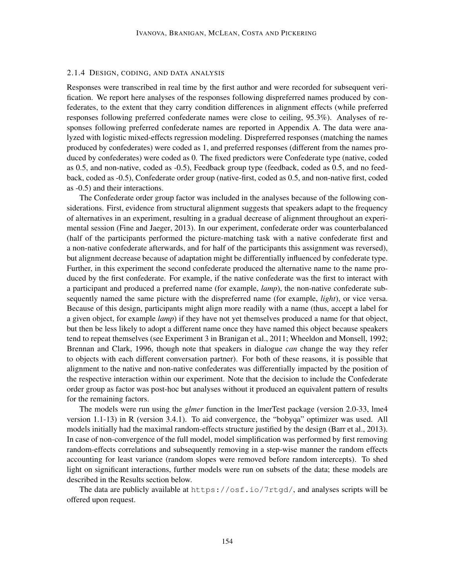#### 2.1.4 DESIGN, CODING, AND DATA ANALYSIS

Responses were transcribed in real time by the first author and were recorded for subsequent verification. We report here analyses of the responses following dispreferred names produced by confederates, to the extent that they carry condition differences in alignment effects (while preferred responses following preferred confederate names were close to ceiling, 95.3%). Analyses of responses following preferred confederate names are reported in Appendix A. The data were analyzed with logistic mixed-effects regression modeling. Dispreferred responses (matching the names produced by confederates) were coded as 1, and preferred responses (different from the names produced by confederates) were coded as 0. The fixed predictors were Confederate type (native, coded as 0.5, and non-native, coded as -0.5), Feedback group type (feedback, coded as 0.5, and no feedback, coded as -0.5), Confederate order group (native-first, coded as 0.5, and non-native first, coded as -0.5) and their interactions.

The Confederate order group factor was included in the analyses because of the following considerations. First, evidence from structural alignment suggests that speakers adapt to the frequency of alternatives in an experiment, resulting in a gradual decrease of alignment throughout an experimental session (Fine and Jaeger, 2013). In our experiment, confederate order was counterbalanced (half of the participants performed the picture-matching task with a native confederate first and a non-native confederate afterwards, and for half of the participants this assignment was reversed), but alignment decrease because of adaptation might be differentially influenced by confederate type. Further, in this experiment the second confederate produced the alternative name to the name produced by the first confederate. For example, if the native confederate was the first to interact with a participant and produced a preferred name (for example, *lamp*), the non-native confederate subsequently named the same picture with the dispreferred name (for example, *light*), or vice versa. Because of this design, participants might align more readily with a name (thus, accept a label for a given object, for example *lamp*) if they have not yet themselves produced a name for that object, but then be less likely to adopt a different name once they have named this object because speakers tend to repeat themselves (see Experiment 3 in Branigan et al., 2011; Wheeldon and Monsell, 1992; Brennan and Clark, 1996, though note that speakers in dialogue *can* change the way they refer to objects with each different conversation partner). For both of these reasons, it is possible that alignment to the native and non-native confederates was differentially impacted by the position of the respective interaction within our experiment. Note that the decision to include the Confederate order group as factor was post-hoc but analyses without it produced an equivalent pattern of results for the remaining factors.

The models were run using the *glmer* function in the lmerTest package (version 2.0-33, lme4 version 1.1-13) in R (version 3.4.1). To aid convergence, the "bobyqa" optimizer was used. All models initially had the maximal random-effects structure justified by the design (Barr et al., 2013). In case of non-convergence of the full model, model simplification was performed by first removing random-effects correlations and subsequently removing in a step-wise manner the random effects accounting for least variance (random slopes were removed before random intercepts). To shed light on significant interactions, further models were run on subsets of the data; these models are described in the Results section below.

The data are publicly available at https://osf.io/7rtgd/, and analyses scripts will be offered upon request.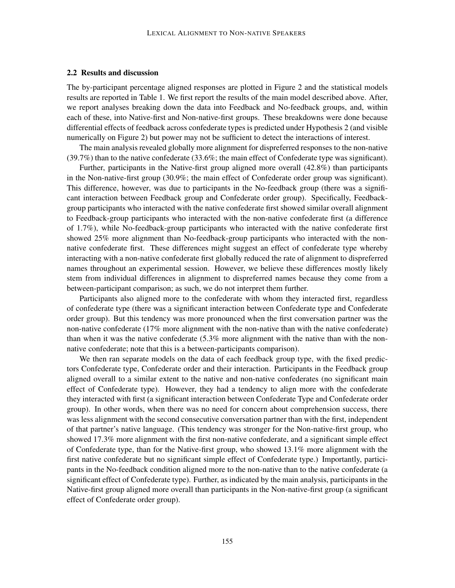#### 2.2 Results and discussion

The by-participant percentage aligned responses are plotted in Figure 2 and the statistical models results are reported in Table 1. We first report the results of the main model described above. After, we report analyses breaking down the data into Feedback and No-feedback groups, and, within each of these, into Native-first and Non-native-first groups. These breakdowns were done because differential effects of feedback across confederate types is predicted under Hypothesis 2 (and visible numerically on Figure 2) but power may not be sufficient to detect the interactions of interest.

The main analysis revealed globally more alignment for dispreferred responses to the non-native  $(39.7\%)$  than to the native confederate  $(33.6\%)$ ; the main effect of Confederate type was significant).

Further, participants in the Native-first group aligned more overall (42.8%) than participants in the Non-native-first group (30.9%; the main effect of Confederate order group was significant). This difference, however, was due to participants in the No-feedback group (there was a significant interaction between Feedback group and Confederate order group). Specifically, Feedbackgroup participants who interacted with the native confederate first showed similar overall alignment to Feedback-group participants who interacted with the non-native confederate first (a difference of 1.7%), while No-feedback-group participants who interacted with the native confederate first showed 25% more alignment than No-feedback-group participants who interacted with the nonnative confederate first. These differences might suggest an effect of confederate type whereby interacting with a non-native confederate first globally reduced the rate of alignment to dispreferred names throughout an experimental session. However, we believe these differences mostly likely stem from individual differences in alignment to dispreferred names because they come from a between-participant comparison; as such, we do not interpret them further.

Participants also aligned more to the confederate with whom they interacted first, regardless of confederate type (there was a significant interaction between Confederate type and Confederate order group). But this tendency was more pronounced when the first conversation partner was the non-native confederate (17% more alignment with the non-native than with the native confederate) than when it was the native confederate (5.3% more alignment with the native than with the nonnative confederate; note that this is a between-participants comparison).

We then ran separate models on the data of each feedback group type, with the fixed predictors Confederate type, Confederate order and their interaction. Participants in the Feedback group aligned overall to a similar extent to the native and non-native confederates (no significant main effect of Confederate type). However, they had a tendency to align more with the confederate they interacted with first (a significant interaction between Confederate Type and Confederate order group). In other words, when there was no need for concern about comprehension success, there was less alignment with the second consecutive conversation partner than with the first, independent of that partner's native language. (This tendency was stronger for the Non-native-first group, who showed 17.3% more alignment with the first non-native confederate, and a significant simple effect of Confederate type, than for the Native-first group, who showed 13.1% more alignment with the first native confederate but no significant simple effect of Confederate type.) Importantly, participants in the No-feedback condition aligned more to the non-native than to the native confederate (a significant effect of Confederate type). Further, as indicated by the main analysis, participants in the Native-first group aligned more overall than participants in the Non-native-first group (a significant effect of Confederate order group).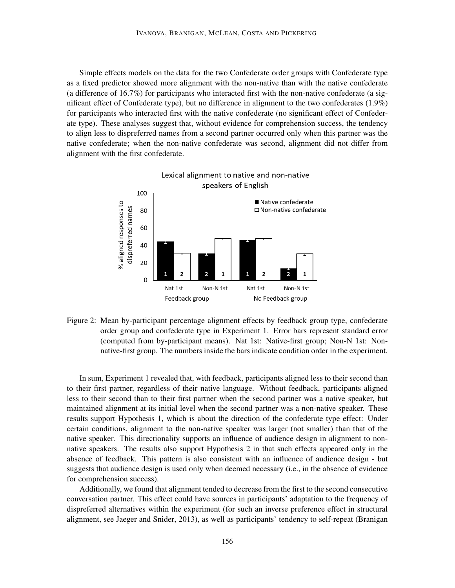Simple effects models on the data for the two Confederate order groups with Confederate type as a fixed predictor showed more alignment with the non-native than with the native confederate (a difference of 16.7%) for participants who interacted first with the non-native confederate (a significant effect of Confederate type), but no difference in alignment to the two confederates (1.9%) for participants who interacted first with the native confederate (no significant effect of Confederate type). These analyses suggest that, without evidence for comprehension success, the tendency to align less to dispreferred names from a second partner occurred only when this partner was the native confederate; when the non-native confederate was second, alignment did not differ from alignment with the first confederate.



Figure 2: Mean by-participant percentage alignment effects by feedback group type, confederate order group and confederate type in Experiment 1. Error bars represent standard error (computed from by-participant means). Nat 1st: Native-first group; Non-N 1st: Nonnative-first group. The numbers inside the bars indicate condition order in the experiment.

In sum, Experiment 1 revealed that, with feedback, participants aligned less to their second than to their first partner, regardless of their native language. Without feedback, participants aligned less to their second than to their first partner when the second partner was a native speaker, but maintained alignment at its initial level when the second partner was a non-native speaker. These results support Hypothesis 1, which is about the direction of the confederate type effect: Under certain conditions, alignment to the non-native speaker was larger (not smaller) than that of the native speaker. This directionality supports an influence of audience design in alignment to nonnative speakers. The results also support Hypothesis 2 in that such effects appeared only in the absence of feedback. This pattern is also consistent with an influence of audience design - but suggests that audience design is used only when deemed necessary (i.e., in the absence of evidence for comprehension success).

Additionally, we found that alignment tended to decrease from the first to the second consecutive conversation partner. This effect could have sources in participants' adaptation to the frequency of dispreferred alternatives within the experiment (for such an inverse preference effect in structural alignment, see Jaeger and Snider, 2013), as well as participants' tendency to self-repeat (Branigan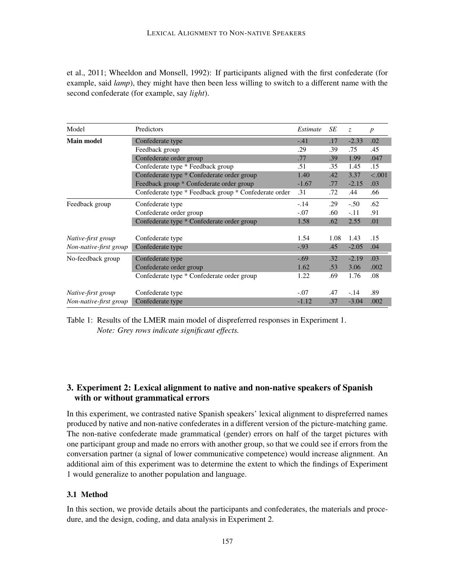et al., 2011; Wheeldon and Monsell, 1992): If participants aligned with the first confederate (for example, said *lamp*), they might have then been less willing to switch to a different name with the second confederate (for example, say *light*).

| Model                  | Predictors                                            | Estimate | SE   | Z.      | $\boldsymbol{p}$ |
|------------------------|-------------------------------------------------------|----------|------|---------|------------------|
| <b>Main model</b>      | Confederate type                                      | $-.41$   | .17  | $-2.33$ | .02              |
|                        | Feedback group                                        | .29      | .39  | .75     | .45              |
|                        | Confederate order group                               | .77      | .39  | 1.99    | .047             |
|                        | Confederate type * Feedback group                     | .51      | .35  | 1.45    | .15              |
|                        | Confederate type * Confederate order group            | 1.40     | .42  | 3.37    | < .001           |
|                        | Feedback group * Confederate order group              | $-1.67$  | .77  | $-2.15$ | .03              |
|                        | Confederate type * Feedback group * Confederate order | .31      | .72  | .44     | .66              |
| Feedback group         | Confederate type                                      | $-.14$   | .29  | $-.50$  | .62              |
|                        | Confederate order group                               | $-.07$   | .60  | $-.11$  | .91              |
|                        | Confederate type * Confederate order group            | 1.58     | .62  | 2.55    | .01              |
| Native-first group     | Confederate type                                      | 1.54     | 1.08 | 1.43    | .15              |
| Non-native-first group | Confederate type                                      | $-.93$   | .45  | $-2.05$ | .04              |
| No-feedback group      | Confederate type                                      | $-.69$   | .32  | $-2.19$ | .03              |
|                        | Confederate order group                               | 1.62     | .53  | 3.06    | .002             |
|                        | Confederate type * Confederate order group            | 1.22     | .69  | 1.76    | .08              |
| Native-first group     | Confederate type                                      | $-.07$   | .47  | $-.14$  | .89              |
| Non-native-first group | Confederate type                                      | $-1.12$  | .37  | $-3.04$ | .002             |

Table 1: Results of the LMER main model of dispreferred responses in Experiment 1. *Note: Grey rows indicate significant effects.*

## 3. Experiment 2: Lexical alignment to native and non-native speakers of Spanish with or without grammatical errors

In this experiment, we contrasted native Spanish speakers' lexical alignment to dispreferred names produced by native and non-native confederates in a different version of the picture-matching game. The non-native confederate made grammatical (gender) errors on half of the target pictures with one participant group and made no errors with another group, so that we could see if errors from the conversation partner (a signal of lower communicative competence) would increase alignment. An additional aim of this experiment was to determine the extent to which the findings of Experiment 1 would generalize to another population and language.

## 3.1 Method

In this section, we provide details about the participants and confederates, the materials and procedure, and the design, coding, and data analysis in Experiment 2.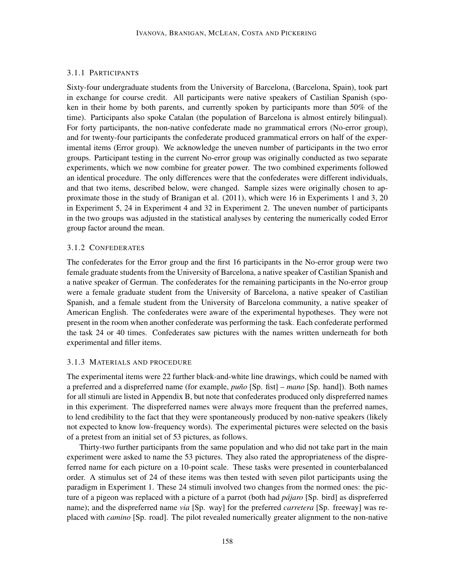## 3.1.1 PARTICIPANTS

Sixty-four undergraduate students from the University of Barcelona, (Barcelona, Spain), took part in exchange for course credit. All participants were native speakers of Castilian Spanish (spoken in their home by both parents, and currently spoken by participants more than 50% of the time). Participants also spoke Catalan (the population of Barcelona is almost entirely bilingual). For forty participants, the non-native confederate made no grammatical errors (No-error group), and for twenty-four participants the confederate produced grammatical errors on half of the experimental items (Error group). We acknowledge the uneven number of participants in the two error groups. Participant testing in the current No-error group was originally conducted as two separate experiments, which we now combine for greater power. The two combined experiments followed an identical procedure. The only differences were that the confederates were different individuals, and that two items, described below, were changed. Sample sizes were originally chosen to approximate those in the study of Branigan et al. (2011), which were 16 in Experiments 1 and 3, 20 in Experiment 5, 24 in Experiment 4 and 32 in Experiment 2. The uneven number of participants in the two groups was adjusted in the statistical analyses by centering the numerically coded Error group factor around the mean.

## 3.1.2 CONFEDERATES

The confederates for the Error group and the first 16 participants in the No-error group were two female graduate students from the University of Barcelona, a native speaker of Castilian Spanish and a native speaker of German. The confederates for the remaining participants in the No-error group were a female graduate student from the University of Barcelona, a native speaker of Castilian Spanish, and a female student from the University of Barcelona community, a native speaker of American English. The confederates were aware of the experimental hypotheses. They were not present in the room when another confederate was performing the task. Each confederate performed the task 24 or 40 times. Confederates saw pictures with the names written underneath for both experimental and filler items.

#### 3.1.3 MATERIALS AND PROCEDURE

The experimental items were 22 further black-and-white line drawings, which could be named with a preferred and a dispreferred name (for example, *puño* [Sp. fist] – *mano* [Sp. hand]). Both names for all stimuli are listed in Appendix B, but note that confederates produced only dispreferred names in this experiment. The dispreferred names were always more frequent than the preferred names, to lend credibility to the fact that they were spontaneously produced by non-native speakers (likely not expected to know low-frequency words). The experimental pictures were selected on the basis of a pretest from an initial set of 53 pictures, as follows.

Thirty-two further participants from the same population and who did not take part in the main experiment were asked to name the 53 pictures. They also rated the appropriateness of the dispreferred name for each picture on a 10-point scale. These tasks were presented in counterbalanced order. A stimulus set of 24 of these items was then tested with seven pilot participants using the paradigm in Experiment 1. These 24 stimuli involved two changes from the normed ones: the picture of a pigeon was replaced with a picture of a parrot (both had *pájaro* [Sp. bird] as dispreferred name); and the dispreferred name *via* [Sp. way] for the preferred *carretera* [Sp. freeway] was replaced with *camino* [Sp. road]. The pilot revealed numerically greater alignment to the non-native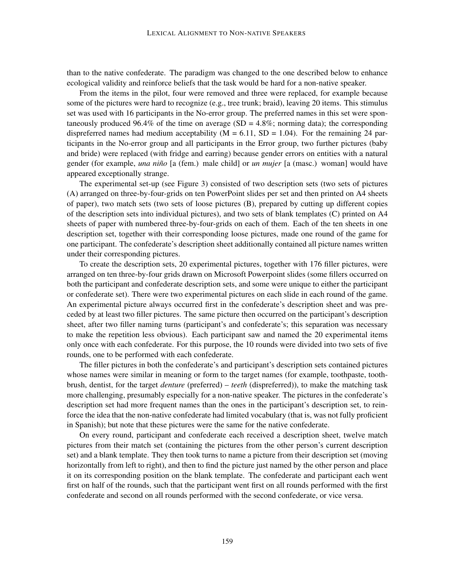than to the native confederate. The paradigm was changed to the one described below to enhance ecological validity and reinforce beliefs that the task would be hard for a non-native speaker.

From the items in the pilot, four were removed and three were replaced, for example because some of the pictures were hard to recognize (e.g., tree trunk; braid), leaving 20 items. This stimulus set was used with 16 participants in the No-error group. The preferred names in this set were spontaneously produced 96.4% of the time on average (SD =  $4.8\%$ ; norming data); the corresponding dispreferred names had medium acceptability ( $M = 6.11$ ,  $SD = 1.04$ ). For the remaining 24 participants in the No-error group and all participants in the Error group, two further pictures (baby and bride) were replaced (with fridge and earring) because gender errors on entities with a natural gender (for example, *una niño* [a (fem.) male child] or *un mujer* [a (masc.) woman] would have appeared exceptionally strange.

The experimental set-up (see Figure 3) consisted of two description sets (two sets of pictures (A) arranged on three-by-four-grids on ten PowerPoint slides per set and then printed on A4 sheets of paper), two match sets (two sets of loose pictures (B), prepared by cutting up different copies of the description sets into individual pictures), and two sets of blank templates (C) printed on A4 sheets of paper with numbered three-by-four-grids on each of them. Each of the ten sheets in one description set, together with their corresponding loose pictures, made one round of the game for one participant. The confederate's description sheet additionally contained all picture names written under their corresponding pictures.

To create the description sets, 20 experimental pictures, together with 176 filler pictures, were arranged on ten three-by-four grids drawn on Microsoft Powerpoint slides (some fillers occurred on both the participant and confederate description sets, and some were unique to either the participant or confederate set). There were two experimental pictures on each slide in each round of the game. An experimental picture always occurred first in the confederate's description sheet and was preceded by at least two filler pictures. The same picture then occurred on the participant's description sheet, after two filler naming turns (participant's and confederate's; this separation was necessary to make the repetition less obvious). Each participant saw and named the 20 experimental items only once with each confederate. For this purpose, the 10 rounds were divided into two sets of five rounds, one to be performed with each confederate.

The filler pictures in both the confederate's and participant's description sets contained pictures whose names were similar in meaning or form to the target names (for example, toothpaste, toothbrush, dentist, for the target *denture* (preferred) – *teeth* (dispreferred)), to make the matching task more challenging, presumably especially for a non-native speaker. The pictures in the confederate's description set had more frequent names than the ones in the participant's description set, to reinforce the idea that the non-native confederate had limited vocabulary (that is, was not fully proficient in Spanish); but note that these pictures were the same for the native confederate.

On every round, participant and confederate each received a description sheet, twelve match pictures from their match set (containing the pictures from the other person's current description set) and a blank template. They then took turns to name a picture from their description set (moving horizontally from left to right), and then to find the picture just named by the other person and place it on its corresponding position on the blank template. The confederate and participant each went first on half of the rounds, such that the participant went first on all rounds performed with the first confederate and second on all rounds performed with the second confederate, or vice versa.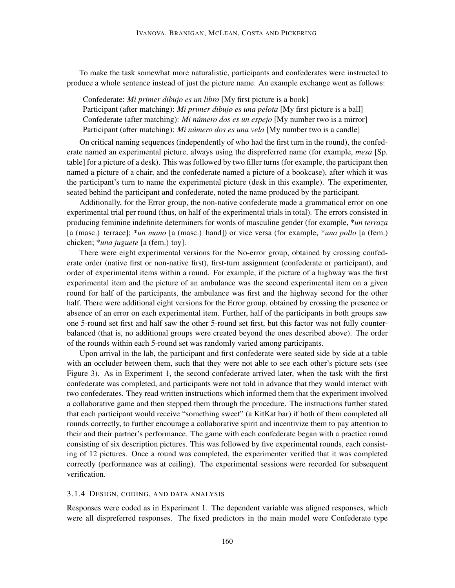To make the task somewhat more naturalistic, participants and confederates were instructed to produce a whole sentence instead of just the picture name. An example exchange went as follows:

Confederate: *Mi primer dibujo es un libro* [My first picture is a book] Participant (after matching): *Mi primer dibujo es una pelota* [My first picture is a ball] Confederate (after matching): *Mi número dos es un espejo* [My number two is a mirror] Participant (after matching): *Mi número dos es una vela* [My number two is a candle]

On critical naming sequences (independently of who had the first turn in the round), the confederate named an experimental picture, always using the dispreferred name (for example, *mesa* [Sp. table] for a picture of a desk). This was followed by two filler turns (for example, the participant then named a picture of a chair, and the confederate named a picture of a bookcase), after which it was the participant's turn to name the experimental picture (desk in this example). The experimenter, seated behind the participant and confederate, noted the name produced by the participant.

Additionally, for the Error group, the non-native confederate made a grammatical error on one experimental trial per round (thus, on half of the experimental trials in total). The errors consisted in producing feminine indefinite determiners for words of masculine gender (for example, \**un terraza* [a (masc.) terrace]; \**un mano* [a (masc.) hand]) or vice versa (for example, \**una pollo* [a (fem.) chicken; \**una juguete* [a (fem.) toy].

There were eight experimental versions for the No-error group, obtained by crossing confederate order (native first or non-native first), first-turn assignment (confederate or participant), and order of experimental items within a round. For example, if the picture of a highway was the first experimental item and the picture of an ambulance was the second experimental item on a given round for half of the participants, the ambulance was first and the highway second for the other half. There were additional eight versions for the Error group, obtained by crossing the presence or absence of an error on each experimental item. Further, half of the participants in both groups saw one 5-round set first and half saw the other 5-round set first, but this factor was not fully counterbalanced (that is, no additional groups were created beyond the ones described above). The order of the rounds within each 5-round set was randomly varied among participants.

Upon arrival in the lab, the participant and first confederate were seated side by side at a table with an occluder between them, such that they were not able to see each other's picture sets (see Figure 3). As in Experiment 1, the second confederate arrived later, when the task with the first confederate was completed, and participants were not told in advance that they would interact with two confederates. They read written instructions which informed them that the experiment involved a collaborative game and then stepped them through the procedure. The instructions further stated that each participant would receive "something sweet" (a KitKat bar) if both of them completed all rounds correctly, to further encourage a collaborative spirit and incentivize them to pay attention to their and their partner's performance. The game with each confederate began with a practice round consisting of six description pictures. This was followed by five experimental rounds, each consisting of 12 pictures. Once a round was completed, the experimenter verified that it was completed correctly (performance was at ceiling). The experimental sessions were recorded for subsequent verification.

#### 3.1.4 DESIGN, CODING, AND DATA ANALYSIS

Responses were coded as in Experiment 1. The dependent variable was aligned responses, which were all dispreferred responses. The fixed predictors in the main model were Confederate type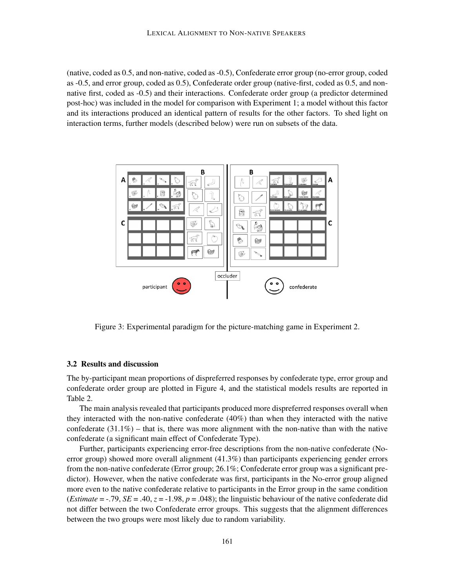(native, coded as 0.5, and non-native, coded as -0.5), Confederate error group (no-error group, coded as -0.5, and error group, coded as 0.5), Confederate order group (native-first, coded as 0.5, and nonnative first, coded as -0.5) and their interactions. Confederate order group (a predictor determined post-hoc) was included in the model for comparison with Experiment 1; a model without this factor and its interactions produced an identical pattern of results for the other factors. To shed light on interaction terms, further models (described below) were run on subsets of the data.



Figure 3: Experimental paradigm for the picture-matching game in Experiment 2.

#### 3.2 Results and discussion

The by-participant mean proportions of dispreferred responses by confederate type, error group and confederate order group are plotted in Figure 4, and the statistical models results are reported in Table 2.

The main analysis revealed that participants produced more dispreferred responses overall when they interacted with the non-native confederate (40%) than when they interacted with the native confederate  $(31.1\%)$  – that is, there was more alignment with the non-native than with the native confederate (a significant main effect of Confederate Type).

Further, participants experiencing error-free descriptions from the non-native confederate (Noerror group) showed more overall alignment (41.3%) than participants experiencing gender errors from the non-native confederate (Error group; 26.1%; Confederate error group was a significant predictor). However, when the native confederate was first, participants in the No-error group aligned more even to the native confederate relative to participants in the Error group in the same condition (*Estimate* =  $-79$ , *SE* =  $.40$ ,  $z = -1.98$ ,  $p = .048$ ); the linguistic behaviour of the native confederate did not differ between the two Confederate error groups. This suggests that the alignment differences between the two groups were most likely due to random variability.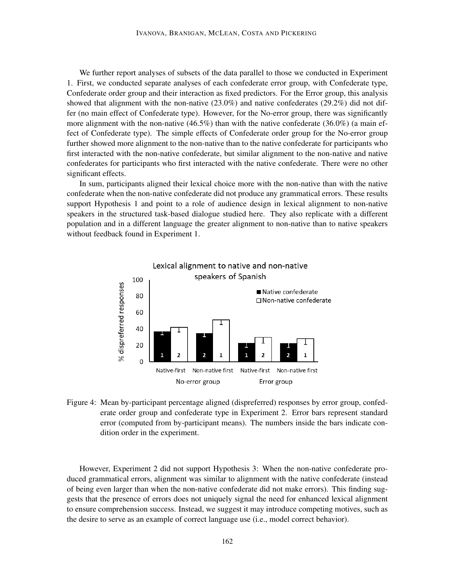We further report analyses of subsets of the data parallel to those we conducted in Experiment 1. First, we conducted separate analyses of each confederate error group, with Confederate type, Confederate order group and their interaction as fixed predictors. For the Error group, this analysis showed that alignment with the non-native  $(23.0\%)$  and native confederates  $(29.2\%)$  did not differ (no main effect of Confederate type). However, for the No-error group, there was significantly more alignment with the non-native  $(46.5\%)$  than with the native confederate  $(36.0\%)$  (a main effect of Confederate type). The simple effects of Confederate order group for the No-error group further showed more alignment to the non-native than to the native confederate for participants who first interacted with the non-native confederate, but similar alignment to the non-native and native confederates for participants who first interacted with the native confederate. There were no other significant effects.

In sum, participants aligned their lexical choice more with the non-native than with the native confederate when the non-native confederate did not produce any grammatical errors. These results support Hypothesis 1 and point to a role of audience design in lexical alignment to non-native speakers in the structured task-based dialogue studied here. They also replicate with a different population and in a different language the greater alignment to non-native than to native speakers without feedback found in Experiment 1.



Figure 4: Mean by-participant percentage aligned (dispreferred) responses by error group, confederate order group and confederate type in Experiment 2. Error bars represent standard error (computed from by-participant means). The numbers inside the bars indicate condition order in the experiment.

However, Experiment 2 did not support Hypothesis 3: When the non-native confederate produced grammatical errors, alignment was similar to alignment with the native confederate (instead of being even larger than when the non-native confederate did not make errors). This finding suggests that the presence of errors does not uniquely signal the need for enhanced lexical alignment to ensure comprehension success. Instead, we suggest it may introduce competing motives, such as the desire to serve as an example of correct language use (i.e., model correct behavior).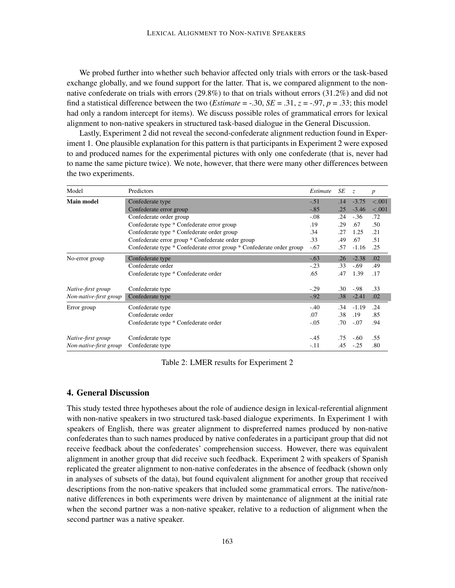We probed further into whether such behavior affected only trials with errors or the task-based exchange globally, and we found support for the latter. That is, we compared alignment to the nonnative confederate on trials with errors (29.8%) to that on trials without errors (31.2%) and did not find a statistical difference between the two (*Estimate* =  $-.30$ , *SE* =  $.31$ , *z* =  $-.97$ , *p* =  $.33$ ; this model had only a random intercept for items). We discuss possible roles of grammatical errors for lexical alignment to non-native speakers in structured task-based dialogue in the General Discussion.

Lastly, Experiment 2 did not reveal the second-confederate alignment reduction found in Experiment 1. One plausible explanation for this pattern is that participants in Experiment 2 were exposed to and produced names for the experimental pictures with only one confederate (that is, never had to name the same picture twice). We note, however, that there were many other differences between the two experiments.

| Model                  | Predictors                                                           | Estimate | SE               | $\overline{z}$ | $\boldsymbol{p}$ |
|------------------------|----------------------------------------------------------------------|----------|------------------|----------------|------------------|
| <b>Main model</b>      | Confederate type                                                     | $-.51$   | .14              | $-3.75$        | < .001           |
|                        | Confederate error group                                              | $-.85$   | .25              | $-3.46$        | < .001           |
|                        | Confederate order group                                              | $-.08$   | .24              | $-.36$         | .72              |
|                        | Confederate type * Confederate error group                           | .19      | .29              | .67            | .50              |
|                        | Confederate type * Confederate order group                           | .34      | .27              | 1.25           | .21              |
|                        | Confederate error group * Confederate order group                    | .33      | .49              | .67            | .51              |
|                        | Confederate type * Confederate error group * Confederate order group | $-.67$   | .57              | $-1.16$        | .25              |
| No-error group         | Confederate type                                                     | $-.63$   | .26              | $-2.38$        | .02              |
|                        | Confederate order                                                    | $-.23$   | .33              | $-.69$         | .49              |
|                        | Confederate type * Confederate order                                 | .65      | .47              | 1.39           | .17              |
| Native-first group     | Confederate type                                                     | $-.29$   | .30              | $-.98$         | .33              |
| Non-native-first group | Confederate type                                                     | $-.92$   | .38 <sub>1</sub> | $-2.41$        | .02              |
| Error group            | Confederate type                                                     | $-.40$   | .34              | $-1.19$        | .24              |
|                        | Confederate order                                                    | .07      | .38              | .19            | .85              |
|                        | Confederate type * Confederate order                                 | $-.05$   | .70              | $-.07$         | .94              |
| Native-first group     | Confederate type                                                     | $-.45$   | .75              | $-.60$         | .55              |
| Non-native-first group | Confederate type                                                     | $-.11$   | .45              | $-.25$         | .80              |

Table 2: LMER results for Experiment 2

## 4. General Discussion

This study tested three hypotheses about the role of audience design in lexical-referential alignment with non-native speakers in two structured task-based dialogue experiments. In Experiment 1 with speakers of English, there was greater alignment to dispreferred names produced by non-native confederates than to such names produced by native confederates in a participant group that did not receive feedback about the confederates' comprehension success. However, there was equivalent alignment in another group that did receive such feedback. Experiment 2 with speakers of Spanish replicated the greater alignment to non-native confederates in the absence of feedback (shown only in analyses of subsets of the data), but found equivalent alignment for another group that received descriptions from the non-native speakers that included some grammatical errors. The native/nonnative differences in both experiments were driven by maintenance of alignment at the initial rate when the second partner was a non-native speaker, relative to a reduction of alignment when the second partner was a native speaker.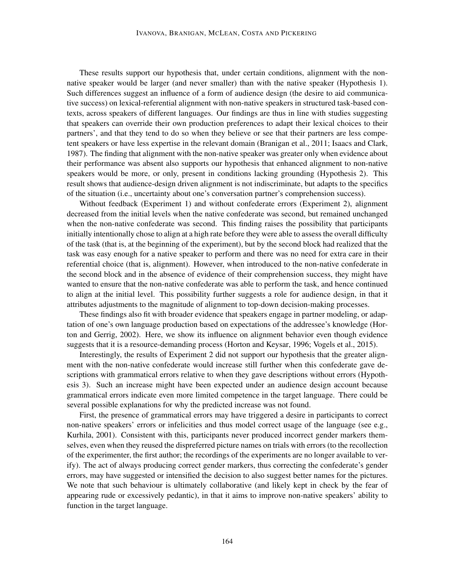These results support our hypothesis that, under certain conditions, alignment with the nonnative speaker would be larger (and never smaller) than with the native speaker (Hypothesis 1). Such differences suggest an influence of a form of audience design (the desire to aid communicative success) on lexical-referential alignment with non-native speakers in structured task-based contexts, across speakers of different languages. Our findings are thus in line with studies suggesting that speakers can override their own production preferences to adapt their lexical choices to their partners', and that they tend to do so when they believe or see that their partners are less competent speakers or have less expertise in the relevant domain (Branigan et al., 2011; Isaacs and Clark, 1987). The finding that alignment with the non-native speaker was greater only when evidence about their performance was absent also supports our hypothesis that enhanced alignment to non-native speakers would be more, or only, present in conditions lacking grounding (Hypothesis 2). This result shows that audience-design driven alignment is not indiscriminate, but adapts to the specifics of the situation (i.e., uncertainty about one's conversation partner's comprehension success).

Without feedback (Experiment 1) and without confederate errors (Experiment 2), alignment decreased from the initial levels when the native confederate was second, but remained unchanged when the non-native confederate was second. This finding raises the possibility that participants initially intentionally chose to align at a high rate before they were able to assess the overall difficulty of the task (that is, at the beginning of the experiment), but by the second block had realized that the task was easy enough for a native speaker to perform and there was no need for extra care in their referential choice (that is, alignment). However, when introduced to the non-native confederate in the second block and in the absence of evidence of their comprehension success, they might have wanted to ensure that the non-native confederate was able to perform the task, and hence continued to align at the initial level. This possibility further suggests a role for audience design, in that it attributes adjustments to the magnitude of alignment to top-down decision-making processes.

These findings also fit with broader evidence that speakers engage in partner modeling, or adaptation of one's own language production based on expectations of the addressee's knowledge (Horton and Gerrig, 2002). Here, we show its influence on alignment behavior even though evidence suggests that it is a resource-demanding process (Horton and Keysar, 1996; Vogels et al., 2015).

Interestingly, the results of Experiment 2 did not support our hypothesis that the greater alignment with the non-native confederate would increase still further when this confederate gave descriptions with grammatical errors relative to when they gave descriptions without errors (Hypothesis 3). Such an increase might have been expected under an audience design account because grammatical errors indicate even more limited competence in the target language. There could be several possible explanations for why the predicted increase was not found.

First, the presence of grammatical errors may have triggered a desire in participants to correct non-native speakers' errors or infelicities and thus model correct usage of the language (see e.g., Kurhila, 2001). Consistent with this, participants never produced incorrect gender markers themselves, even when they reused the dispreferred picture names on trials with errors (to the recollection of the experimenter, the first author; the recordings of the experiments are no longer available to verify). The act of always producing correct gender markers, thus correcting the confederate's gender errors, may have suggested or intensified the decision to also suggest better names for the pictures. We note that such behaviour is ultimately collaborative (and likely kept in check by the fear of appearing rude or excessively pedantic), in that it aims to improve non-native speakers' ability to function in the target language.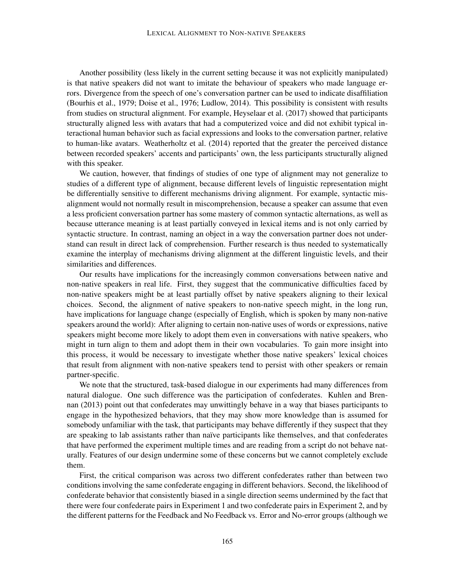Another possibility (less likely in the current setting because it was not explicitly manipulated) is that native speakers did not want to imitate the behaviour of speakers who made language errors. Divergence from the speech of one's conversation partner can be used to indicate disaffiliation (Bourhis et al., 1979; Doise et al., 1976; Ludlow, 2014). This possibility is consistent with results from studies on structural alignment. For example, Heyselaar et al. (2017) showed that participants structurally aligned less with avatars that had a computerized voice and did not exhibit typical interactional human behavior such as facial expressions and looks to the conversation partner, relative to human-like avatars. Weatherholtz et al. (2014) reported that the greater the perceived distance between recorded speakers' accents and participants' own, the less participants structurally aligned with this speaker.

We caution, however, that findings of studies of one type of alignment may not generalize to studies of a different type of alignment, because different levels of linguistic representation might be differentially sensitive to different mechanisms driving alignment. For example, syntactic misalignment would not normally result in miscomprehension, because a speaker can assume that even a less proficient conversation partner has some mastery of common syntactic alternations, as well as because utterance meaning is at least partially conveyed in lexical items and is not only carried by syntactic structure. In contrast, naming an object in a way the conversation partner does not understand can result in direct lack of comprehension. Further research is thus needed to systematically examine the interplay of mechanisms driving alignment at the different linguistic levels, and their similarities and differences.

Our results have implications for the increasingly common conversations between native and non-native speakers in real life. First, they suggest that the communicative difficulties faced by non-native speakers might be at least partially offset by native speakers aligning to their lexical choices. Second, the alignment of native speakers to non-native speech might, in the long run, have implications for language change (especially of English, which is spoken by many non-native speakers around the world): After aligning to certain non-native uses of words or expressions, native speakers might become more likely to adopt them even in conversations with native speakers, who might in turn align to them and adopt them in their own vocabularies. To gain more insight into this process, it would be necessary to investigate whether those native speakers' lexical choices that result from alignment with non-native speakers tend to persist with other speakers or remain partner-specific.

We note that the structured, task-based dialogue in our experiments had many differences from natural dialogue. One such difference was the participation of confederates. Kuhlen and Brennan (2013) point out that confederates may unwittingly behave in a way that biases participants to engage in the hypothesized behaviors, that they may show more knowledge than is assumed for somebody unfamiliar with the task, that participants may behave differently if they suspect that they are speaking to lab assistants rather than naïve participants like themselves, and that confederates that have performed the experiment multiple times and are reading from a script do not behave naturally. Features of our design undermine some of these concerns but we cannot completely exclude them.

First, the critical comparison was across two different confederates rather than between two conditions involving the same confederate engaging in different behaviors. Second, the likelihood of confederate behavior that consistently biased in a single direction seems undermined by the fact that there were four confederate pairs in Experiment 1 and two confederate pairs in Experiment 2, and by the different patterns for the Feedback and No Feedback vs. Error and No-error groups (although we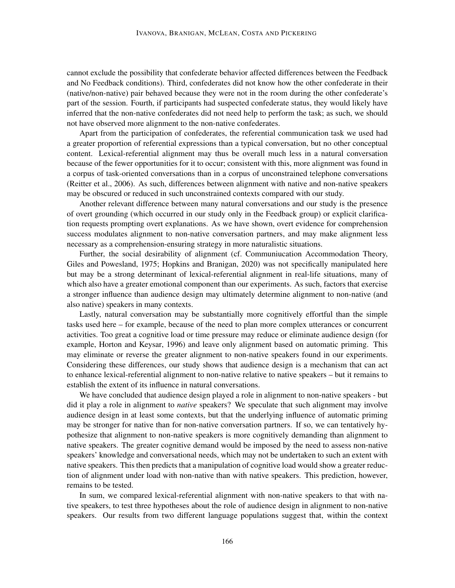cannot exclude the possibility that confederate behavior affected differences between the Feedback and No Feedback conditions). Third, confederates did not know how the other confederate in their (native/non-native) pair behaved because they were not in the room during the other confederate's part of the session. Fourth, if participants had suspected confederate status, they would likely have inferred that the non-native confederates did not need help to perform the task; as such, we should not have observed more alignment to the non-native confederates.

Apart from the participation of confederates, the referential communication task we used had a greater proportion of referential expressions than a typical conversation, but no other conceptual content. Lexical-referential alignment may thus be overall much less in a natural conversation because of the fewer opportunities for it to occur; consistent with this, more alignment was found in a corpus of task-oriented conversations than in a corpus of unconstrained telephone conversations (Reitter et al., 2006). As such, differences between alignment with native and non-native speakers may be obscured or reduced in such unconstrained contexts compared with our study.

Another relevant difference between many natural conversations and our study is the presence of overt grounding (which occurred in our study only in the Feedback group) or explicit clarification requests prompting overt explanations. As we have shown, overt evidence for comprehension success modulates alignment to non-native conversation partners, and may make alignment less necessary as a comprehension-ensuring strategy in more naturalistic situations.

Further, the social desirability of alignment (cf. Communiucation Accommodation Theory, Giles and Powesland, 1975; Hopkins and Branigan, 2020) was not specifically manipulated here but may be a strong determinant of lexical-referential alignment in real-life situations, many of which also have a greater emotional component than our experiments. As such, factors that exercise a stronger influence than audience design may ultimately determine alignment to non-native (and also native) speakers in many contexts.

Lastly, natural conversation may be substantially more cognitively effortful than the simple tasks used here – for example, because of the need to plan more complex utterances or concurrent activities. Too great a cognitive load or time pressure may reduce or eliminate audience design (for example, Horton and Keysar, 1996) and leave only alignment based on automatic priming. This may eliminate or reverse the greater alignment to non-native speakers found in our experiments. Considering these differences, our study shows that audience design is a mechanism that can act to enhance lexical-referential alignment to non-native relative to native speakers – but it remains to establish the extent of its influence in natural conversations.

We have concluded that audience design played a role in alignment to non-native speakers - but did it play a role in alignment to *native* speakers? We speculate that such alignment may involve audience design in at least some contexts, but that the underlying influence of automatic priming may be stronger for native than for non-native conversation partners. If so, we can tentatively hypothesize that alignment to non-native speakers is more cognitively demanding than alignment to native speakers. The greater cognitive demand would be imposed by the need to assess non-native speakers' knowledge and conversational needs, which may not be undertaken to such an extent with native speakers. This then predicts that a manipulation of cognitive load would show a greater reduction of alignment under load with non-native than with native speakers. This prediction, however, remains to be tested.

In sum, we compared lexical-referential alignment with non-native speakers to that with native speakers, to test three hypotheses about the role of audience design in alignment to non-native speakers. Our results from two different language populations suggest that, within the context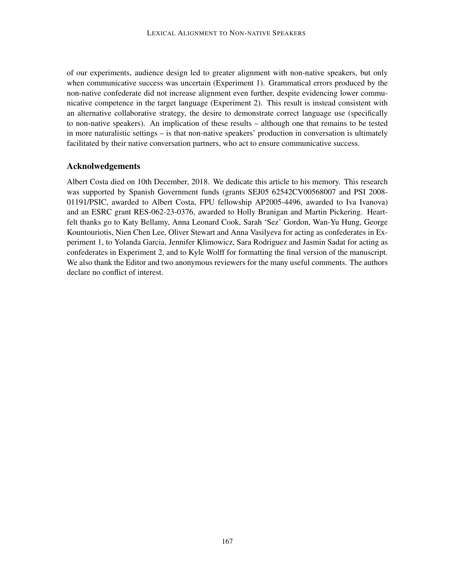of our experiments, audience design led to greater alignment with non-native speakers, but only when communicative success was uncertain (Experiment 1). Grammatical errors produced by the non-native confederate did not increase alignment even further, despite evidencing lower communicative competence in the target language (Experiment 2). This result is instead consistent with an alternative collaborative strategy, the desire to demonstrate correct language use (specifically to non-native speakers). An implication of these results – although one that remains to be tested in more naturalistic settings – is that non-native speakers' production in conversation is ultimately facilitated by their native conversation partners, who act to ensure communicative success.

## Acknolwedgements

Albert Costa died on 10th December, 2018. We dedicate this article to his memory. This research was supported by Spanish Government funds (grants SEJ05 62542CV00568007 and PSI 2008- 01191/PSIC, awarded to Albert Costa, FPU fellowship AP2005-4496, awarded to Iva Ivanova) and an ESRC grant RES-062-23-0376, awarded to Holly Branigan and Martin Pickering. Heartfelt thanks go to Katy Bellamy, Anna Leonard Cook, Sarah 'Sez' Gordon, Wan-Yu Hung, George Kountouriotis, Nien Chen Lee, Oliver Stewart and Anna Vasilyeva for acting as confederates in Experiment 1, to Yolanda Garcia, Jennifer Klimowicz, Sara Rodriguez and Jasmin Sadat for acting as confederates in Experiment 2, and to Kyle Wolff for formatting the final version of the manuscript. We also thank the Editor and two anonymous reviewers for the many useful comments. The authors declare no conflict of interest.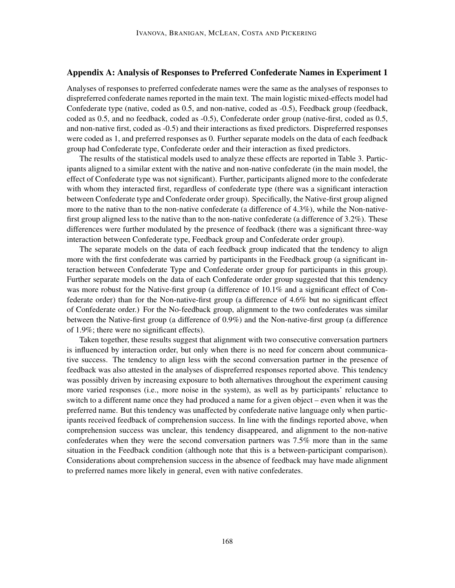## Appendix A: Analysis of Responses to Preferred Confederate Names in Experiment 1

Analyses of responses to preferred confederate names were the same as the analyses of responses to dispreferred confederate names reported in the main text. The main logistic mixed-effects model had Confederate type (native, coded as 0.5, and non-native, coded as -0.5), Feedback group (feedback, coded as 0.5, and no feedback, coded as -0.5), Confederate order group (native-first, coded as 0.5, and non-native first, coded as -0.5) and their interactions as fixed predictors. Dispreferred responses were coded as 1, and preferred responses as 0. Further separate models on the data of each feedback group had Confederate type, Confederate order and their interaction as fixed predictors.

The results of the statistical models used to analyze these effects are reported in Table 3. Participants aligned to a similar extent with the native and non-native confederate (in the main model, the effect of Confederate type was not significant). Further, participants aligned more to the confederate with whom they interacted first, regardless of confederate type (there was a significant interaction between Confederate type and Confederate order group). Specifically, the Native-first group aligned more to the native than to the non-native confederate (a difference of 4.3%), while the Non-nativefirst group aligned less to the native than to the non-native confederate (a difference of 3.2%). These differences were further modulated by the presence of feedback (there was a significant three-way interaction between Confederate type, Feedback group and Confederate order group).

The separate models on the data of each feedback group indicated that the tendency to align more with the first confederate was carried by participants in the Feedback group (a significant interaction between Confederate Type and Confederate order group for participants in this group). Further separate models on the data of each Confederate order group suggested that this tendency was more robust for the Native-first group (a difference of 10.1% and a significant effect of Confederate order) than for the Non-native-first group (a difference of 4.6% but no significant effect of Confederate order.) For the No-feedback group, alignment to the two confederates was similar between the Native-first group (a difference of 0.9%) and the Non-native-first group (a difference of 1.9%; there were no significant effects).

Taken together, these results suggest that alignment with two consecutive conversation partners is influenced by interaction order, but only when there is no need for concern about communicative success. The tendency to align less with the second conversation partner in the presence of feedback was also attested in the analyses of dispreferred responses reported above. This tendency was possibly driven by increasing exposure to both alternatives throughout the experiment causing more varied responses (i.e., more noise in the system), as well as by participants' reluctance to switch to a different name once they had produced a name for a given object – even when it was the preferred name. But this tendency was unaffected by confederate native language only when participants received feedback of comprehension success. In line with the findings reported above, when comprehension success was unclear, this tendency disappeared, and alignment to the non-native confederates when they were the second conversation partners was 7.5% more than in the same situation in the Feedback condition (although note that this is a between-participant comparison). Considerations about comprehension success in the absence of feedback may have made alignment to preferred names more likely in general, even with native confederates.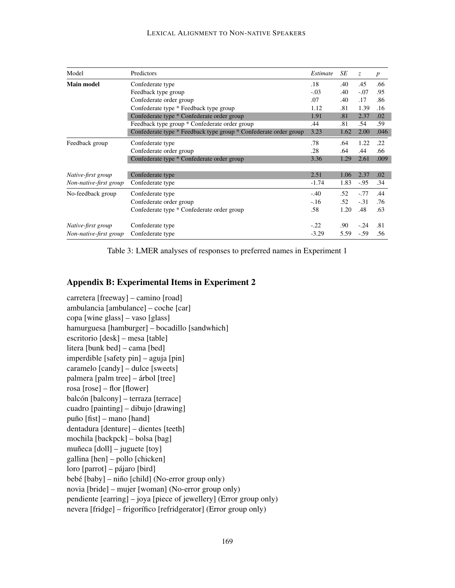#### LEXICAL ALIGNMENT TO NON-NATIVE SPEAKERS

| Model                  | Predictors                                                       | Estimate | SE   | $\mathcal{Z}$ | $\boldsymbol{p}$ |
|------------------------|------------------------------------------------------------------|----------|------|---------------|------------------|
| <b>Main model</b>      | Confederate type                                                 | .18      | .40  | .45           | .66              |
|                        | Feedback type group                                              | $-.03$   | .40  | $-.07$        | .95              |
|                        | Confederate order group                                          | .07      | .40  | .17           | .86              |
|                        | Confederate type * Feedback type group                           | 1.12     | .81  | 1.39          | .16              |
|                        | Confederate type * Confederate order group                       | 1.91     | .81  | 2.37          | .02              |
|                        | Feedback type group * Confederate order group                    | .44      | .81  | .54           | .59              |
|                        | Confederate type * Feedback type group * Confederate order group | 3.23     | 1.62 | 2.00          | .046             |
| Feedback group         | Confederate type                                                 | .78      | .64  | 1.22          | .22              |
|                        | Confederate order group                                          | .28      | .64  | .44           | .66              |
|                        | Confederate type * Confederate order group                       | 3.36     | 1.29 | 2.61          | .009             |
| Native-first group     | Confederate type                                                 | 2.51     | 1.06 | 2.37          | .02              |
| Non-native-first group | Confederate type                                                 | $-1.74$  | 1.83 | $-.95$        | .34              |
| No-feedback group      | Confederate type                                                 | $-.40$   | .52  | $-.77$        | .44              |
|                        | Confederate order group                                          | $-.16$   | .52  | $-.31$        | .76              |
|                        | Confederate type * Confederate order group                       | .58      | 1.20 | .48           | .63              |
| Native-first group     | Confederate type                                                 | $-.22$   | .90  | $-.24$        | .81              |
| Non-native-first group | Confederate type                                                 | $-3.29$  | 5.59 | $-.59$        | .56              |

Table 3: LMER analyses of responses to preferred names in Experiment 1

## Appendix B: Experimental Items in Experiment 2

carretera [freeway] – camino [road] ambulancia [ambulance] – coche [car] copa [wine glass] – vaso [glass] hamurguesa [hamburger] – bocadillo [sandwhich] escritorio [desk] – mesa [table] litera [bunk bed] – cama [bed] imperdible [safety pin] – aguja [pin] caramelo [candy] – dulce [sweets] palmera [palm tree] – árbol [tree] rosa [rose] – flor [flower] balcón [balcony] – terraza [terrace] cuadro [painting] – dibujo [drawing] puño  $[$ fist $]$  – mano  $[$ hand $]$ dentadura [denture] – dientes [teeth] mochila [backpck] – bolsa [bag] muñeca  $[doll]$  – juguete  $[toy]$ gallina [hen] – pollo [chicken] loro [parrot] – pájaro [bird] bebé  $[$ baby $]$  – niño  $[$ child $]$  (No-error group only) novia [bride] – mujer [woman] (No-error group only) pendiente [earring] – joya [piece of jewellery] (Error group only) nevera [fridge] – frigorífico [refridgerator] (Error group only)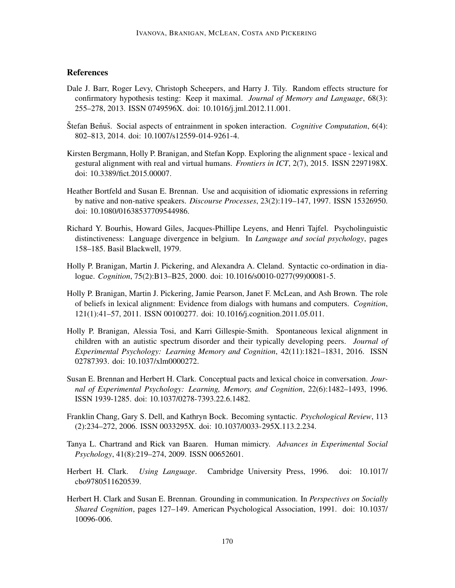## **References**

- Dale J. Barr, Roger Levy, Christoph Scheepers, and Harry J. Tily. Random effects structure for confirmatory hypothesis testing: Keep it maximal. *Journal of Memory and Language*, 68(3): 255–278, 2013. ISSN 0749596X. doi: 10.1016/j.jml.2012.11.001.
- Stefan Beňuš. Social aspects of entrainment in spoken interaction. *Cognitive Computation*, 6(4): 802–813, 2014. doi: 10.1007/s12559-014-9261-4.
- Kirsten Bergmann, Holly P. Branigan, and Stefan Kopp. Exploring the alignment space lexical and gestural alignment with real and virtual humans. *Frontiers in ICT*, 2(7), 2015. ISSN 2297198X. doi: 10.3389/fict.2015.00007.
- Heather Bortfeld and Susan E. Brennan. Use and acquisition of idiomatic expressions in referring by native and non-native speakers. *Discourse Processes*, 23(2):119–147, 1997. ISSN 15326950. doi: 10.1080/01638537709544986.
- Richard Y. Bourhis, Howard Giles, Jacques-Phillipe Leyens, and Henri Tajfel. Psycholinguistic distinctiveness: Language divergence in belgium. In *Language and social psychology*, pages 158–185. Basil Blackwell, 1979.
- Holly P. Branigan, Martin J. Pickering, and Alexandra A. Cleland. Syntactic co-ordination in dialogue. *Cognition*, 75(2):B13–B25, 2000. doi: 10.1016/s0010-0277(99)00081-5.
- Holly P. Branigan, Martin J. Pickering, Jamie Pearson, Janet F. McLean, and Ash Brown. The role of beliefs in lexical alignment: Evidence from dialogs with humans and computers. *Cognition*, 121(1):41–57, 2011. ISSN 00100277. doi: 10.1016/j.cognition.2011.05.011.
- Holly P. Branigan, Alessia Tosi, and Karri Gillespie-Smith. Spontaneous lexical alignment in children with an autistic spectrum disorder and their typically developing peers. *Journal of Experimental Psychology: Learning Memory and Cognition*, 42(11):1821–1831, 2016. ISSN 02787393. doi: 10.1037/xlm0000272.
- Susan E. Brennan and Herbert H. Clark. Conceptual pacts and lexical choice in conversation. *Journal of Experimental Psychology: Learning, Memory, and Cognition*, 22(6):1482–1493, 1996. ISSN 1939-1285. doi: 10.1037/0278-7393.22.6.1482.
- Franklin Chang, Gary S. Dell, and Kathryn Bock. Becoming syntactic. *Psychological Review*, 113 (2):234–272, 2006. ISSN 0033295X. doi: 10.1037/0033-295X.113.2.234.
- Tanya L. Chartrand and Rick van Baaren. Human mimicry. *Advances in Experimental Social Psychology*, 41(8):219–274, 2009. ISSN 00652601.
- Herbert H. Clark. *Using Language*. Cambridge University Press, 1996. doi: 10.1017/ cbo9780511620539.
- Herbert H. Clark and Susan E. Brennan. Grounding in communication. In *Perspectives on Socially Shared Cognition*, pages 127–149. American Psychological Association, 1991. doi: 10.1037/ 10096-006.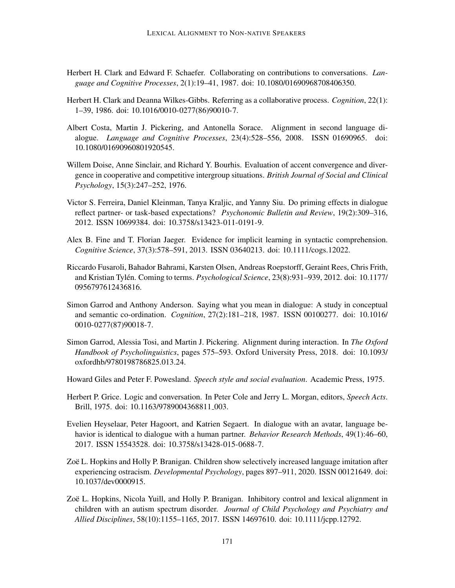- Herbert H. Clark and Edward F. Schaefer. Collaborating on contributions to conversations. *Language and Cognitive Processes*, 2(1):19–41, 1987. doi: 10.1080/01690968708406350.
- Herbert H. Clark and Deanna Wilkes-Gibbs. Referring as a collaborative process. *Cognition*, 22(1): 1–39, 1986. doi: 10.1016/0010-0277(86)90010-7.
- Albert Costa, Martin J. Pickering, and Antonella Sorace. Alignment in second language dialogue. *Language and Cognitive Processes*, 23(4):528–556, 2008. ISSN 01690965. doi: 10.1080/01690960801920545.
- Willem Doise, Anne Sinclair, and Richard Y. Bourhis. Evaluation of accent convergence and divergence in cooperative and competitive intergroup situations. *British Journal of Social and Clinical Psychology*, 15(3):247–252, 1976.
- Victor S. Ferreira, Daniel Kleinman, Tanya Kraljic, and Yanny Siu. Do priming effects in dialogue reflect partner- or task-based expectations? *Psychonomic Bulletin and Review*, 19(2):309–316, 2012. ISSN 10699384. doi: 10.3758/s13423-011-0191-9.
- Alex B. Fine and T. Florian Jaeger. Evidence for implicit learning in syntactic comprehension. *Cognitive Science*, 37(3):578–591, 2013. ISSN 03640213. doi: 10.1111/cogs.12022.
- Riccardo Fusaroli, Bahador Bahrami, Karsten Olsen, Andreas Roepstorff, Geraint Rees, Chris Frith, and Kristian Tylén. Coming to terms. *Psychological Science*, 23(8):931–939, 2012. doi: 10.1177/ 0956797612436816.
- Simon Garrod and Anthony Anderson. Saying what you mean in dialogue: A study in conceptual and semantic co-ordination. *Cognition*, 27(2):181–218, 1987. ISSN 00100277. doi: 10.1016/ 0010-0277(87)90018-7.
- Simon Garrod, Alessia Tosi, and Martin J. Pickering. Alignment during interaction. In *The Oxford Handbook of Psycholinguistics*, pages 575–593. Oxford University Press, 2018. doi: 10.1093/ oxfordhb/9780198786825.013.24.
- Howard Giles and Peter F. Powesland. *Speech style and social evaluation*. Academic Press, 1975.
- Herbert P. Grice. Logic and conversation. In Peter Cole and Jerry L. Morgan, editors, *Speech Acts*. Brill, 1975. doi: 10.1163/9789004368811 003.
- Evelien Heyselaar, Peter Hagoort, and Katrien Segaert. In dialogue with an avatar, language behavior is identical to dialogue with a human partner. *Behavior Research Methods*, 49(1):46–60, 2017. ISSN 15543528. doi: 10.3758/s13428-015-0688-7.
- Zoë L. Hopkins and Holly P. Branigan. Children show selectively increased language imitation after experiencing ostracism. *Developmental Psychology*, pages 897–911, 2020. ISSN 00121649. doi: 10.1037/dev0000915.
- Zoë L. Hopkins, Nicola Yuill, and Holly P. Branigan. Inhibitory control and lexical alignment in children with an autism spectrum disorder. *Journal of Child Psychology and Psychiatry and Allied Disciplines*, 58(10):1155–1165, 2017. ISSN 14697610. doi: 10.1111/jcpp.12792.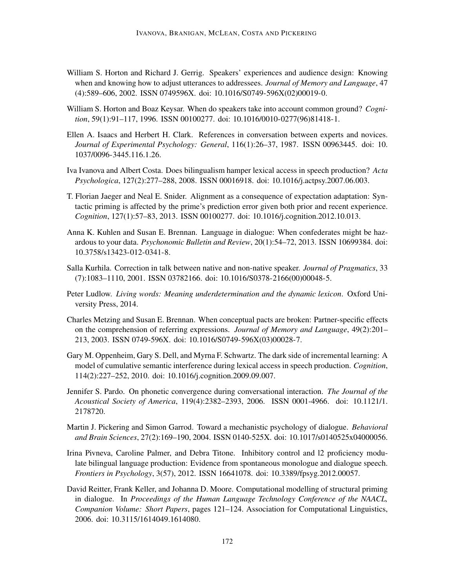- William S. Horton and Richard J. Gerrig. Speakers' experiences and audience design: Knowing when and knowing how to adjust utterances to addressees. *Journal of Memory and Language*, 47 (4):589–606, 2002. ISSN 0749596X. doi: 10.1016/S0749-596X(02)00019-0.
- William S. Horton and Boaz Keysar. When do speakers take into account common ground? *Cognition*, 59(1):91–117, 1996. ISSN 00100277. doi: 10.1016/0010-0277(96)81418-1.
- Ellen A. Isaacs and Herbert H. Clark. References in conversation between experts and novices. *Journal of Experimental Psychology: General*, 116(1):26–37, 1987. ISSN 00963445. doi: 10. 1037/0096-3445.116.1.26.
- Iva Ivanova and Albert Costa. Does bilingualism hamper lexical access in speech production? *Acta Psychologica*, 127(2):277–288, 2008. ISSN 00016918. doi: 10.1016/j.actpsy.2007.06.003.
- T. Florian Jaeger and Neal E. Snider. Alignment as a consequence of expectation adaptation: Syntactic priming is affected by the prime's prediction error given both prior and recent experience. *Cognition*, 127(1):57–83, 2013. ISSN 00100277. doi: 10.1016/j.cognition.2012.10.013.
- Anna K. Kuhlen and Susan E. Brennan. Language in dialogue: When confederates might be hazardous to your data. *Psychonomic Bulletin and Review*, 20(1):54–72, 2013. ISSN 10699384. doi: 10.3758/s13423-012-0341-8.
- Salla Kurhila. Correction in talk between native and non-native speaker. *Journal of Pragmatics*, 33 (7):1083–1110, 2001. ISSN 03782166. doi: 10.1016/S0378-2166(00)00048-5.
- Peter Ludlow. *Living words: Meaning underdetermination and the dynamic lexicon*. Oxford University Press, 2014.
- Charles Metzing and Susan E. Brennan. When conceptual pacts are broken: Partner-specific effects on the comprehension of referring expressions. *Journal of Memory and Language*, 49(2):201– 213, 2003. ISSN 0749-596X. doi: 10.1016/S0749-596X(03)00028-7.
- Gary M. Oppenheim, Gary S. Dell, and Myrna F. Schwartz. The dark side of incremental learning: A model of cumulative semantic interference during lexical access in speech production. *Cognition*, 114(2):227–252, 2010. doi: 10.1016/j.cognition.2009.09.007.
- Jennifer S. Pardo. On phonetic convergence during conversational interaction. *The Journal of the Acoustical Society of America*, 119(4):2382–2393, 2006. ISSN 0001-4966. doi: 10.1121/1. 2178720.
- Martin J. Pickering and Simon Garrod. Toward a mechanistic psychology of dialogue. *Behavioral and Brain Sciences*, 27(2):169–190, 2004. ISSN 0140-525X. doi: 10.1017/s0140525x04000056.
- Irina Pivneva, Caroline Palmer, and Debra Titone. Inhibitory control and l2 proficiency modulate bilingual language production: Evidence from spontaneous monologue and dialogue speech. *Frontiers in Psychology*, 3(57), 2012. ISSN 16641078. doi: 10.3389/fpsyg.2012.00057.
- David Reitter, Frank Keller, and Johanna D. Moore. Computational modelling of structural priming in dialogue. In *Proceedings of the Human Language Technology Conference of the NAACL, Companion Volume: Short Papers*, pages 121–124. Association for Computational Linguistics, 2006. doi: 10.3115/1614049.1614080.